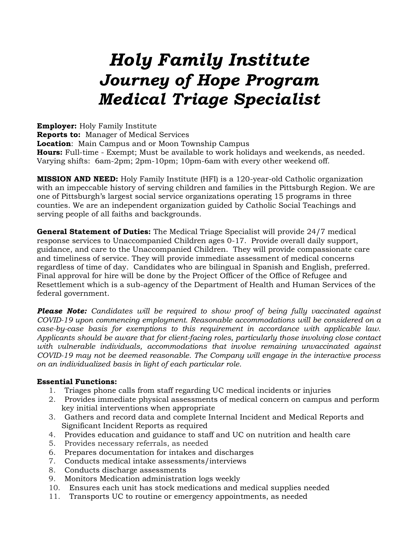# *Holy Family Institute Journey of Hope Program Medical Triage Specialist*

**Employer:** Holy Family Institute **Reports to:** Manager of Medical Services **Location**: Main Campus and or Moon Township Campus **Hours:** Full-time - Exempt; Must be available to work holidays and weekends, as needed. Varying shifts: 6am-2pm; 2pm-10pm; 10pm-6am with every other weekend off.

**MISSION AND NEED:** Holy Family Institute (HFI) is a 120-year-old Catholic organization with an impeccable history of serving children and families in the Pittsburgh Region. We are one of Pittsburgh's largest social service organizations operating 15 programs in three counties. We are an independent organization guided by Catholic Social Teachings and serving people of all faiths and backgrounds.

**General Statement of Duties:** The Medical Triage Specialist will provide 24/7 medical response services to Unaccompanied Children ages 0-17. Provide overall daily support, guidance, and care to the Unaccompanied Children. They will provide compassionate care and timeliness of service. They will provide immediate assessment of medical concerns regardless of time of day. Candidates who are bilingual in Spanish and English, preferred. Final approval for hire will be done by the Project Officer of the Office of Refugee and Resettlement which is a sub-agency of the Department of Health and Human Services of the federal government.

*Please Note: Candidates will be required to show proof of being fully vaccinated against COVID-19 upon commencing employment. Reasonable accommodations will be considered on a case-by-case basis for exemptions to this requirement in accordance with applicable law. Applicants should be aware that for client-facing roles, particularly those involving close contact with vulnerable individuals, accommodations that involve remaining unvaccinated against COVID-19 may not be deemed reasonable. The Company will engage in the interactive process on an individualized basis in light of each particular role.*

### **Essential Functions:**

- 1. Triages phone calls from staff regarding UC medical incidents or injuries
- 2. Provides immediate physical assessments of medical concern on campus and perform key initial interventions when appropriate
- 3. Gathers and record data and complete Internal Incident and Medical Reports and Significant Incident Reports as required
- 4. Provides education and guidance to staff and UC on nutrition and health care
- 5. Provides necessary referrals, as needed
- 6. Prepares documentation for intakes and discharges
- 7. Conducts medical intake assessments/interviews
- 8. Conducts discharge assessments
- 9. Monitors Medication administration logs weekly
- 10. Ensures each unit has stock medications and medical supplies needed
- 11. Transports UC to routine or emergency appointments, as needed